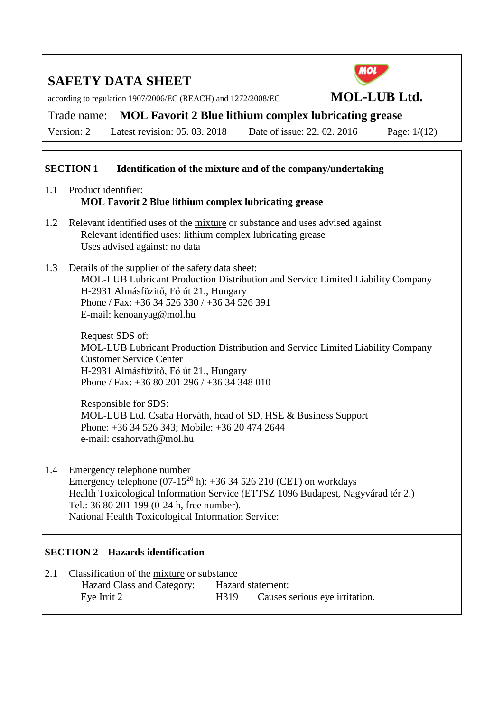according to regulation 1907/2006/EC (REACH) and 1272/2008/EC **MOL-LUB Ltd.** 



Version: 2 Latest revision: 05. 03. 2018 Date of issue: 22. 02. 2016 Page: 1/(12)

Trade name: **MOL Favorit 2 Blue lithium complex lubricating grease** 

#### **SECTION 1 Identification of the mixture and of the company/undertaking**

- 1.1 Product identifier:  **MOL Favorit 2 Blue lithium complex lubricating grease**
- 1.2 Relevant identified uses of the mixture or substance and uses advised against Relevant identified uses: lithium complex lubricating grease Uses advised against: no data
- 1.3 Details of the supplier of the safety data sheet: MOL-LUB Lubricant Production Distribution and Service Limited Liability Company H-2931 Almásfüzitő, Fő út 21., Hungary Phone / Fax: +36 34 526 330 / +36 34 526 391 E-mail: kenoanyag@mol.hu

Request SDS of: MOL-LUB Lubricant Production Distribution and Service Limited Liability Company Customer Service Center H-2931 Almásfüzitő, Fő út 21., Hungary Phone / Fax: +36 80 201 296 / +36 34 348 010

Responsible for SDS: MOL-LUB Ltd. Csaba Horváth, head of SD, HSE & Business Support Phone: +36 34 526 343; Mobile: +36 20 474 2644 e-mail: csahorvath@mol.hu

1.4 Emergency telephone number Emergency telephone  $(07-15^{20} h)$ : +36 34 526 210 (CET) on workdays Health Toxicological Information Service (ETTSZ 1096 Budapest, Nagyvárad tér 2.) Tel.: 36 80 201 199 (0-24 h, free number). National Health Toxicological Information Service:

#### **SECTION 2 Hazards identification**

2.1 Classification of the mixture or substance Hazard Class and Category: Hazard statement: Eye Irrit 2 H319 Causes serious eye irritation.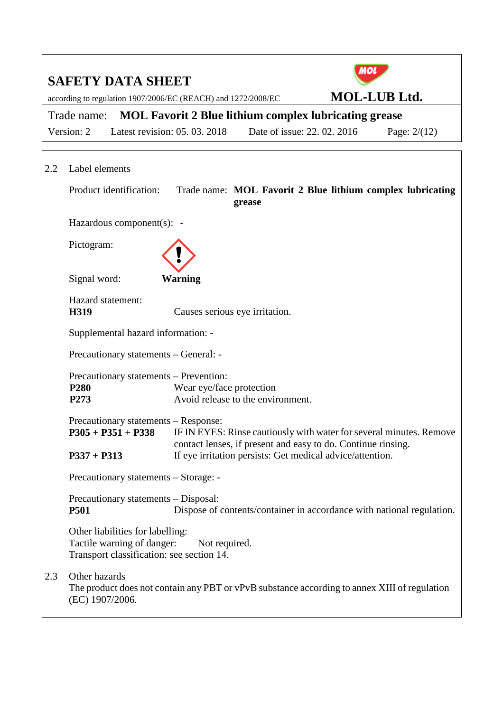|     | <b>SAFETY DATA SHEET</b>                                                                                    |                                |                                                                                                                                                                                                  | ΙО                  |                |
|-----|-------------------------------------------------------------------------------------------------------------|--------------------------------|--------------------------------------------------------------------------------------------------------------------------------------------------------------------------------------------------|---------------------|----------------|
|     | according to regulation 1907/2006/EC (REACH) and 1272/2008/EC                                               |                                |                                                                                                                                                                                                  | <b>MOL-LUB Ltd.</b> |                |
|     | <b>MOL Favorit 2 Blue lithium complex lubricating grease</b><br>Trade name:                                 |                                |                                                                                                                                                                                                  |                     |                |
|     | Version: 2                                                                                                  | Latest revision: 05, 03, 2018  | Date of issue: 22, 02, 2016                                                                                                                                                                      |                     | Page: $2/(12)$ |
| 2.2 | Label elements                                                                                              |                                |                                                                                                                                                                                                  |                     |                |
|     | Product identification:                                                                                     |                                | Trade name: MOL Favorit 2 Blue lithium complex lubricating<br>grease                                                                                                                             |                     |                |
|     | Hazardous component(s): -                                                                                   |                                |                                                                                                                                                                                                  |                     |                |
|     | Pictogram:                                                                                                  |                                |                                                                                                                                                                                                  |                     |                |
|     | Signal word:                                                                                                | <b>Warning</b>                 |                                                                                                                                                                                                  |                     |                |
|     | Hazard statement:<br>H319                                                                                   | Causes serious eye irritation. |                                                                                                                                                                                                  |                     |                |
|     | Supplemental hazard information: -                                                                          |                                |                                                                                                                                                                                                  |                     |                |
|     | Precautionary statements - General: -                                                                       |                                |                                                                                                                                                                                                  |                     |                |
|     | Precautionary statements - Prevention:<br>P <sub>280</sub><br>P273                                          | Wear eye/face protection       | Avoid release to the environment.                                                                                                                                                                |                     |                |
|     | Precautionary statements – Response:<br>$P305 + P351 + P338$<br>$P337 + P313$                               |                                | IF IN EYES: Rinse cautiously with water for several minutes. Remove<br>contact lenses, if present and easy to do. Continue rinsing.<br>If eye irritation persists: Get medical advice/attention. |                     |                |
|     | Precautionary statements – Storage: -                                                                       |                                |                                                                                                                                                                                                  |                     |                |
|     | Precautionary statements - Disposal:<br><b>P501</b>                                                         |                                | Dispose of contents/container in accordance with national regulation.                                                                                                                            |                     |                |
|     | Other liabilities for labelling:<br>Tactile warning of danger:<br>Transport classification: see section 14. | Not required.                  |                                                                                                                                                                                                  |                     |                |
| 2.3 | Other hazards<br>(EC) 1907/2006.                                                                            |                                | The product does not contain any PBT or vPvB substance according to annex XIII of regulation                                                                                                     |                     |                |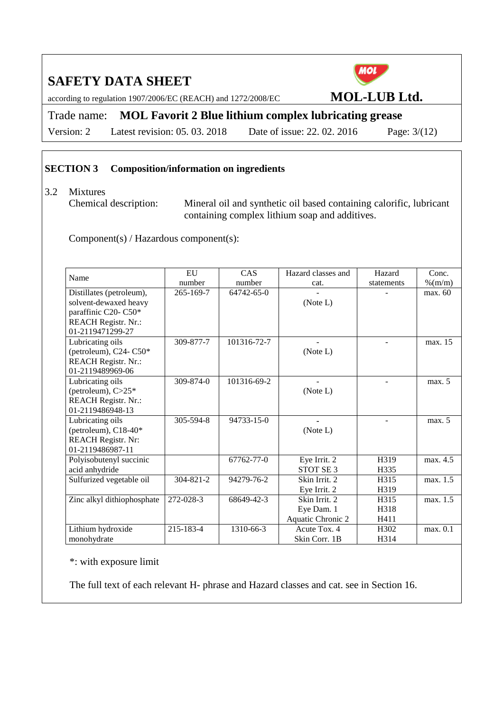according to regulation 1907/2006/EC (REACH) and 1272/2008/EC **MOL-LUB Ltd.** 



Trade name: **MOL Favorit 2 Blue lithium complex lubricating grease**  Version: 2 Latest revision: 05. 03. 2018 Date of issue: 22. 02. 2016 Page: 3/(12)

## **SECTION 3 Composition/information on ingredients**

## 3.2 Mixtures

 Chemical description: Mineral oil and synthetic oil based containing calorific, lubricant containing complex lithium soap and additives.

Component(s) / Hazardous component(s):

| Name                                                                                                                        | EU              | CAS         | Hazard classes and                               | Hazard               | Conc.    |
|-----------------------------------------------------------------------------------------------------------------------------|-----------------|-------------|--------------------------------------------------|----------------------|----------|
|                                                                                                                             | number          | number      | cat.                                             | statements           | % (m/m)  |
| Distillates (petroleum),<br>solvent-dewaxed heavy<br>paraffinic C20- C50*<br><b>REACH Registr. Nr.:</b><br>01-2119471299-27 | 265-169-7       | 64742-65-0  | (Note L)                                         |                      | max. 60  |
| Lubricating oils<br>(petroleum), C24-C50*<br><b>REACH Registr. Nr.:</b><br>01-2119489969-06                                 | 309-877-7       | 101316-72-7 | (Note L)                                         |                      | max. 15  |
| Lubricating oils<br>(petroleum), $C>25*$<br><b>REACH Registr. Nr.:</b><br>01-2119486948-13                                  | $309 - 874 - 0$ | 101316-69-2 | (Note L)                                         |                      | max. 5   |
| Lubricating oils<br>(petroleum), C18-40*<br><b>REACH Registr. Nr:</b><br>01-2119486987-11                                   | 305-594-8       | 94733-15-0  | (Note L)                                         |                      | max. 5   |
| Polyisobutenyl succinic<br>acid anhydride                                                                                   |                 | 67762-77-0  | Eye Irrit. 2<br>STOT SE <sub>3</sub>             | H319<br>H335         | max. 4.5 |
| Sulfurized vegetable oil                                                                                                    | 304-821-2       | 94279-76-2  | Skin Irrit. 2<br>Eye Irrit. 2                    | H315<br>H319         | max. 1.5 |
| Zinc alkyl dithiophosphate                                                                                                  | 272-028-3       | 68649-42-3  | Skin Irrit. 2<br>Eye Dam. 1<br>Aquatic Chronic 2 | H315<br>H318<br>H411 | max. 1.5 |
| Lithium hydroxide<br>monohydrate                                                                                            | 215-183-4       | 1310-66-3   | Acute Tox. 4<br>Skin Corr. 1B                    | H302<br>H314         | max. 0.1 |

\*: with exposure limit

The full text of each relevant H- phrase and Hazard classes and cat. see in Section 16.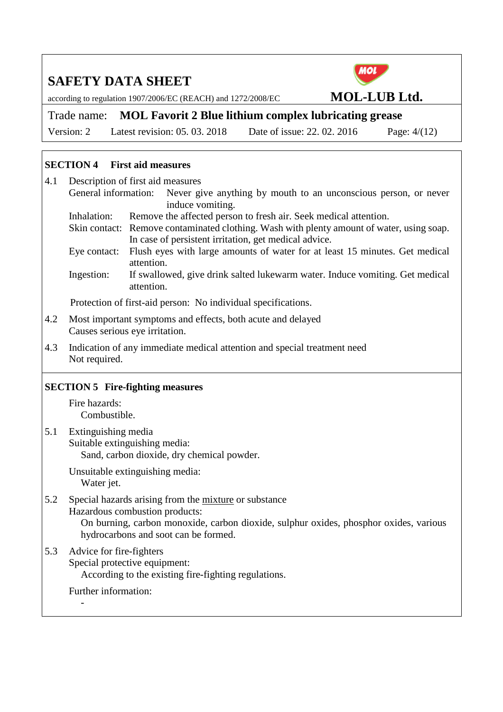according to regulation 1907/2006/EC (REACH) and 1272/2008/EC **MOL-LUB Ltd.** 

MOL

Trade name: **MOL Favorit 2 Blue lithium complex lubricating grease**  Version: 2 Latest revision: 05. 03. 2018 Date of issue: 22. 02. 2016 Page: 4/(12)

#### **SECTION 4 First aid measures**

| 4.1 |                                                                             | Description of first aid measures                                                                                             |  |  |
|-----|-----------------------------------------------------------------------------|-------------------------------------------------------------------------------------------------------------------------------|--|--|
|     | General information:                                                        | Never give anything by mouth to an unconscious person, or never<br>induce vomiting.                                           |  |  |
|     | Inhalation:                                                                 | Remove the affected person to fresh air. Seek medical attention.                                                              |  |  |
|     |                                                                             | Skin contact: Remove contaminated clothing. Wash with plenty amount of water, using soap.                                     |  |  |
|     |                                                                             | In case of persistent irritation, get medical advice.                                                                         |  |  |
|     | Eye contact:                                                                | Flush eyes with large amounts of water for at least 15 minutes. Get medical<br>attention.                                     |  |  |
|     | Ingestion:                                                                  | If swallowed, give drink salted lukewarm water. Induce vomiting. Get medical<br>attention.                                    |  |  |
|     |                                                                             | Protection of first-aid person: No individual specifications.                                                                 |  |  |
| 4.2 |                                                                             | Most important symptoms and effects, both acute and delayed<br>Causes serious eye irritation.                                 |  |  |
| 4.3 | Not required.                                                               | Indication of any immediate medical attention and special treatment need                                                      |  |  |
|     |                                                                             | <b>SECTION 5 Fire-fighting measures</b>                                                                                       |  |  |
|     | Fire hazards:<br>Combustible.                                               |                                                                                                                               |  |  |
| 5.1 | Extinguishing media                                                         |                                                                                                                               |  |  |
|     | Suitable extinguishing media:<br>Sand, carbon dioxide, dry chemical powder. |                                                                                                                               |  |  |
|     |                                                                             |                                                                                                                               |  |  |
|     | Water jet.                                                                  | Unsuitable extinguishing media:                                                                                               |  |  |
| 5.2 |                                                                             | Special hazards arising from the mixture or substance                                                                         |  |  |
|     |                                                                             | Hazardous combustion products:                                                                                                |  |  |
|     |                                                                             | On burning, carbon monoxide, carbon dioxide, sulphur oxides, phosphor oxides, various<br>hydrocarbons and soot can be formed. |  |  |
| 5.3 | Advice for fire-fighters                                                    |                                                                                                                               |  |  |
|     |                                                                             | Special protective equipment:<br>According to the existing fire-fighting regulations.                                         |  |  |
|     | Further information:                                                        |                                                                                                                               |  |  |
|     |                                                                             |                                                                                                                               |  |  |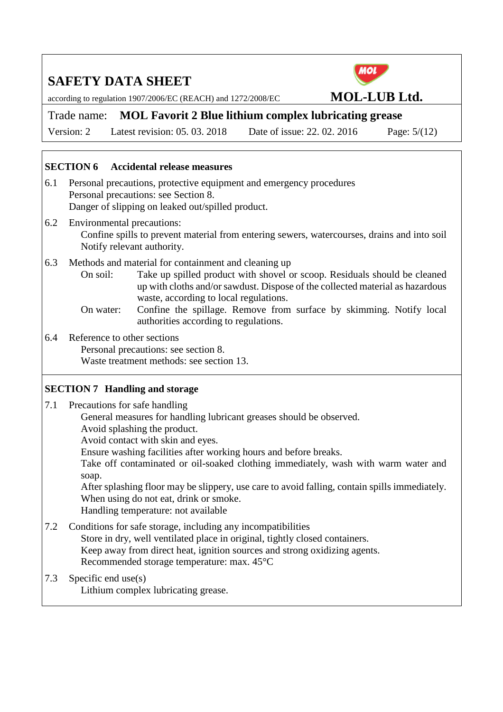according to regulation 1907/2006/EC (REACH) and 1272/2008/EC **MOL-LUB Ltd.** 

**MOL** 

Trade name: **MOL Favorit 2 Blue lithium complex lubricating grease**  Version: 2 Latest revision: 05. 03. 2018 Date of issue: 22. 02. 2016 Page: 5/(12)

#### **SECTION 6 Accidental release measures**

- 6.1 Personal precautions, protective equipment and emergency procedures Personal precautions: see Section 8. Danger of slipping on leaked out/spilled product.
- 6.2 Environmental precautions: Confine spills to prevent material from entering sewers, watercourses, drains and into soil Notify relevant authority.
- 6.3 Methods and material for containment and cleaning up

 On soil: Take up spilled product with shovel or scoop. Residuals should be cleaned up with cloths and/or sawdust. Dispose of the collected material as hazardous waste, according to local regulations.

 On water: Confine the spillage. Remove from surface by skimming. Notify local authorities according to regulations.

6.4 Reference to other sections Personal precautions: see section 8.

Waste treatment methods: see section 13.

## **SECTION 7 Handling and storage**

7.1 Precautions for safe handling

General measures for handling lubricant greases should be observed.

Avoid splashing the product.

Avoid contact with skin and eyes.

Ensure washing facilities after working hours and before breaks.

 Take off contaminated or oil-soaked clothing immediately, wash with warm water and soap.

 After splashing floor may be slippery, use care to avoid falling, contain spills immediately. When using do not eat, drink or smoke.

Handling temperature: not available

7.2 Conditions for safe storage, including any incompatibilities Store in dry, well ventilated place in original, tightly closed containers. Keep away from direct heat, ignition sources and strong oxidizing agents. Recommended storage temperature: max. 45°C

7.3 Specific end use(s)

Lithium complex lubricating grease.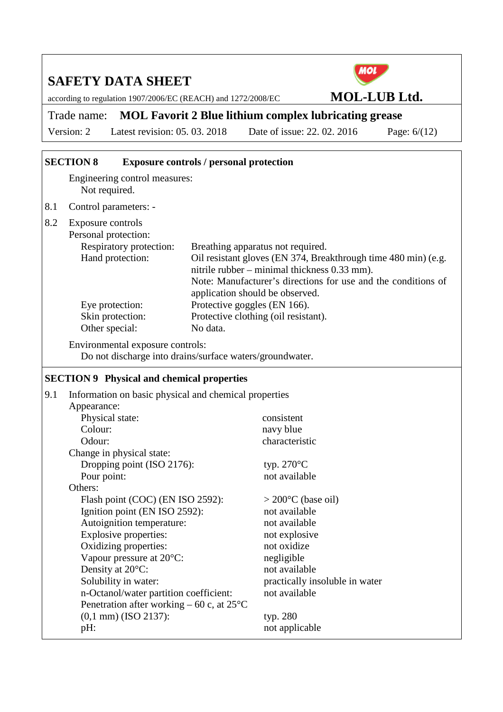according to regulation 1907/2006/EC (REACH) and 1272/2008/EC **MOL-LUB Ltd.** 



Trade name: **MOL Favorit 2 Blue lithium complex lubricating grease** 

Version: 2 Latest revision: 05. 03. 2018 Date of issue: 22. 02. 2016 Page: 6/(12)

## **SECTION 8 Exposure controls / personal protection**

Engineering control measures: Not required.

8.1 Control parameters: -

| 8.2 | Exposure controls<br>Personal protection: |                                                                                                                |
|-----|-------------------------------------------|----------------------------------------------------------------------------------------------------------------|
|     | Respiratory protection:                   | Breathing apparatus not required.                                                                              |
|     | Hand protection:                          | Oil resistant gloves (EN 374, Breakthrough time 480 min) (e.g.<br>nitrile rubber – minimal thickness 0.33 mm). |
|     |                                           | Note: Manufacturer's directions for use and the conditions of<br>application should be observed.               |
|     | Eye protection:                           | Protective goggles (EN 166).                                                                                   |
|     | Skin protection:                          | Protective clothing (oil resistant).                                                                           |
|     | Other special:                            | No data.                                                                                                       |

Environmental exposure controls: Do not discharge into drains/surface waters/groundwater.

## **SECTION 9 Physical and chemical properties**

| Appearance:<br>Physical state:<br>consistent<br>Colour:<br>navy blue<br>characteristic<br>Odour:<br>Change in physical state:<br>Dropping point (ISO 2176):<br>typ. $270^{\circ}$ C<br>not available<br>Pour point:<br>Others:<br>Flash point (COC) (EN ISO 2592):<br>$>$ 200 $\degree$ C (base oil)<br>Ignition point (EN ISO 2592):<br>not available<br>Autoignition temperature:<br>not available<br>Explosive properties:<br>not explosive<br>Oxidizing properties:<br>not oxidize<br>Vapour pressure at 20°C:<br>negligible<br>Density at 20°C:<br>not available<br>Solubility in water:<br>practically insoluble in water<br>not available<br>n-Octanol/water partition coefficient:<br>Penetration after working – 60 c, at $25^{\circ}$ C<br>$(0,1$ mm $)$ (ISO 2137):<br>typ. 280<br>not applicable<br>pH: | 9.1 | Information on basic physical and chemical properties |  |  |  |
|---------------------------------------------------------------------------------------------------------------------------------------------------------------------------------------------------------------------------------------------------------------------------------------------------------------------------------------------------------------------------------------------------------------------------------------------------------------------------------------------------------------------------------------------------------------------------------------------------------------------------------------------------------------------------------------------------------------------------------------------------------------------------------------------------------------------|-----|-------------------------------------------------------|--|--|--|
|                                                                                                                                                                                                                                                                                                                                                                                                                                                                                                                                                                                                                                                                                                                                                                                                                     |     |                                                       |  |  |  |
|                                                                                                                                                                                                                                                                                                                                                                                                                                                                                                                                                                                                                                                                                                                                                                                                                     |     |                                                       |  |  |  |
|                                                                                                                                                                                                                                                                                                                                                                                                                                                                                                                                                                                                                                                                                                                                                                                                                     |     |                                                       |  |  |  |
|                                                                                                                                                                                                                                                                                                                                                                                                                                                                                                                                                                                                                                                                                                                                                                                                                     |     |                                                       |  |  |  |
|                                                                                                                                                                                                                                                                                                                                                                                                                                                                                                                                                                                                                                                                                                                                                                                                                     |     |                                                       |  |  |  |
|                                                                                                                                                                                                                                                                                                                                                                                                                                                                                                                                                                                                                                                                                                                                                                                                                     |     |                                                       |  |  |  |
|                                                                                                                                                                                                                                                                                                                                                                                                                                                                                                                                                                                                                                                                                                                                                                                                                     |     |                                                       |  |  |  |
|                                                                                                                                                                                                                                                                                                                                                                                                                                                                                                                                                                                                                                                                                                                                                                                                                     |     |                                                       |  |  |  |
|                                                                                                                                                                                                                                                                                                                                                                                                                                                                                                                                                                                                                                                                                                                                                                                                                     |     |                                                       |  |  |  |
|                                                                                                                                                                                                                                                                                                                                                                                                                                                                                                                                                                                                                                                                                                                                                                                                                     |     |                                                       |  |  |  |
|                                                                                                                                                                                                                                                                                                                                                                                                                                                                                                                                                                                                                                                                                                                                                                                                                     |     |                                                       |  |  |  |
|                                                                                                                                                                                                                                                                                                                                                                                                                                                                                                                                                                                                                                                                                                                                                                                                                     |     |                                                       |  |  |  |
|                                                                                                                                                                                                                                                                                                                                                                                                                                                                                                                                                                                                                                                                                                                                                                                                                     |     |                                                       |  |  |  |
|                                                                                                                                                                                                                                                                                                                                                                                                                                                                                                                                                                                                                                                                                                                                                                                                                     |     |                                                       |  |  |  |
|                                                                                                                                                                                                                                                                                                                                                                                                                                                                                                                                                                                                                                                                                                                                                                                                                     |     |                                                       |  |  |  |
|                                                                                                                                                                                                                                                                                                                                                                                                                                                                                                                                                                                                                                                                                                                                                                                                                     |     |                                                       |  |  |  |
|                                                                                                                                                                                                                                                                                                                                                                                                                                                                                                                                                                                                                                                                                                                                                                                                                     |     |                                                       |  |  |  |
|                                                                                                                                                                                                                                                                                                                                                                                                                                                                                                                                                                                                                                                                                                                                                                                                                     |     |                                                       |  |  |  |
|                                                                                                                                                                                                                                                                                                                                                                                                                                                                                                                                                                                                                                                                                                                                                                                                                     |     |                                                       |  |  |  |
|                                                                                                                                                                                                                                                                                                                                                                                                                                                                                                                                                                                                                                                                                                                                                                                                                     |     |                                                       |  |  |  |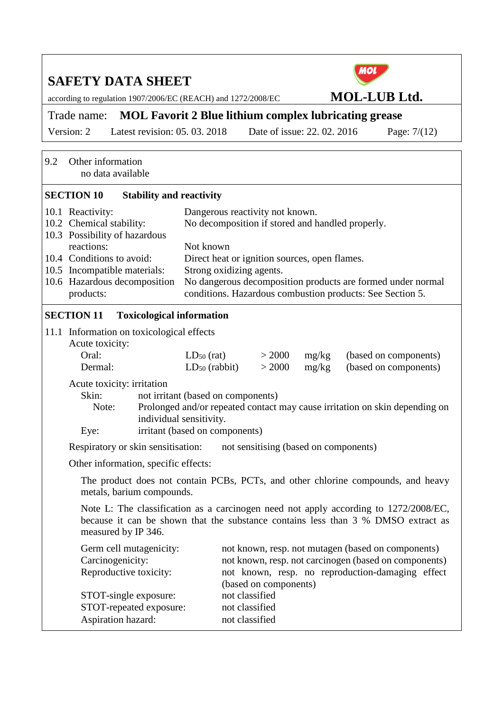according to regulation 1907/2006/EC (REACH) and 1272/2008/EC **MOL-LUB Ltd.** 



Trade name: **MOL Favorit 2 Blue lithium complex lubricating grease** 

Version: 2 Latest revision: 05. 03. 2018 Date of issue: 22. 02. 2016 Page: 7/(12)

| 9.2 | Other information<br>no data available                                                                                                                                                           |                                                                                                                                                                                          |                                                                                                                                                                                                                    |                                       |                |                                                                                  |
|-----|--------------------------------------------------------------------------------------------------------------------------------------------------------------------------------------------------|------------------------------------------------------------------------------------------------------------------------------------------------------------------------------------------|--------------------------------------------------------------------------------------------------------------------------------------------------------------------------------------------------------------------|---------------------------------------|----------------|----------------------------------------------------------------------------------|
|     | <b>SECTION 10</b>                                                                                                                                                                                | <b>Stability and reactivity</b>                                                                                                                                                          |                                                                                                                                                                                                                    |                                       |                |                                                                                  |
|     | 10.1 Reactivity:<br>10.2 Chemical stability:<br>10.3 Possibility of hazardous<br>reactions:                                                                                                      |                                                                                                                                                                                          | Dangerous reactivity not known.<br>No decomposition if stored and handled properly.                                                                                                                                |                                       |                |                                                                                  |
|     | 10.4 Conditions to avoid:<br>10.5 Incompatible materials:<br>10.6 Hazardous decomposition<br>products:                                                                                           |                                                                                                                                                                                          | Not known<br>Direct heat or ignition sources, open flames.<br>Strong oxidizing agents.<br>No dangerous decomposition products are formed under normal<br>conditions. Hazardous combustion products: See Section 5. |                                       |                |                                                                                  |
|     | <b>SECTION 11</b>                                                                                                                                                                                |                                                                                                                                                                                          | <b>Toxicological information</b>                                                                                                                                                                                   |                                       |                |                                                                                  |
|     | 11.1 Information on toxicological effects<br>Acute toxicity:<br>Oral:<br>Dermal:                                                                                                                 |                                                                                                                                                                                          | $LD_{50}$ (rat)<br>$LD_{50}$ (rabbit)                                                                                                                                                                              | > 2000<br>> 2000                      | mg/kg<br>mg/kg | (based on components)<br>(based on components)                                   |
|     | Acute toxicity: irritation<br>Skin:<br>Note:<br>Eye:                                                                                                                                             |                                                                                                                                                                                          | not irritant (based on components)<br>Prolonged and/or repeated contact may cause irritation on skin depending on<br>individual sensitivity.<br>irritant (based on components)                                     |                                       |                |                                                                                  |
|     | Respiratory or skin sensitisation:                                                                                                                                                               |                                                                                                                                                                                          |                                                                                                                                                                                                                    | not sensitising (based on components) |                |                                                                                  |
|     | Other information, specific effects:                                                                                                                                                             |                                                                                                                                                                                          |                                                                                                                                                                                                                    |                                       |                |                                                                                  |
|     | metals, barium compounds.                                                                                                                                                                        |                                                                                                                                                                                          |                                                                                                                                                                                                                    |                                       |                | The product does not contain PCBs, PCTs, and other chlorine compounds, and heavy |
|     | Note L: The classification as a carcinogen need not apply according to 1272/2008/EC,<br>because it can be shown that the substance contains less than 3 % DMSO extract as<br>measured by IP 346. |                                                                                                                                                                                          |                                                                                                                                                                                                                    |                                       |                |                                                                                  |
|     | Germ cell mutagenicity:<br>Carcinogenicity:<br>Reproductive toxicity:                                                                                                                            | not known, resp. not mutagen (based on components)<br>not known, resp. not carcinogen (based on components)<br>not known, resp. no reproduction-damaging effect<br>(based on components) |                                                                                                                                                                                                                    |                                       |                |                                                                                  |
|     | STOT-single exposure:<br>STOT-repeated exposure:<br>Aspiration hazard:                                                                                                                           |                                                                                                                                                                                          | not classified<br>not classified<br>not classified                                                                                                                                                                 |                                       |                |                                                                                  |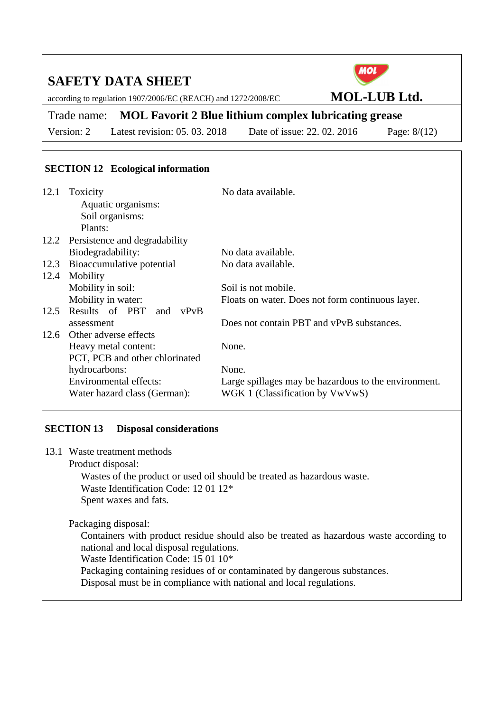according to regulation 1907/2006/EC (REACH) and 1272/2008/EC **MOL-LUB Ltd.** 



Trade name: **MOL Favorit 2 Blue lithium complex lubricating grease**  Version: 2 Latest revision: 05. 03. 2018 Date of issue: 22. 02. 2016 Page: 8/(12)

## **SECTION 12 Ecological information**

| 12.1 | Toxicity                           | No data available.                                   |
|------|------------------------------------|------------------------------------------------------|
|      | Aquatic organisms:                 |                                                      |
|      | Soil organisms:                    |                                                      |
|      | Plants:                            |                                                      |
|      | 12.2 Persistence and degradability |                                                      |
|      | Biodegradability:                  | No data available.                                   |
| 12.3 | Bioaccumulative potential          | No data available.                                   |
| 12.4 | Mobility                           |                                                      |
|      | Mobility in soil:                  | Soil is not mobile.                                  |
|      | Mobility in water:                 | Floats on water. Does not form continuous layer.     |
| 12.5 | Results of PBT and vPvB            |                                                      |
|      | assessment                         | Does not contain PBT and vPvB substances.            |
| 12.6 | Other adverse effects              |                                                      |
|      | Heavy metal content:               | None.                                                |
|      | PCT, PCB and other chlorinated     |                                                      |
|      | hydrocarbons:                      | None.                                                |
|      | <b>Environmental effects:</b>      | Large spillages may be hazardous to the environment. |
|      | Water hazard class (German):       | WGK 1 (Classification by VwVwS)                      |
|      |                                    |                                                      |

## **SECTION 13 Disposal considerations**

13.1 Waste treatment methods

Product disposal:

 Wastes of the product or used oil should be treated as hazardous waste. Waste Identification Code: 12 01 12\* Spent waxes and fats.

Packaging disposal:

 Containers with product residue should also be treated as hazardous waste according to national and local disposal regulations.

Waste Identification Code: 15 01 10\*

Packaging containing residues of or contaminated by dangerous substances.

Disposal must be in compliance with national and local regulations.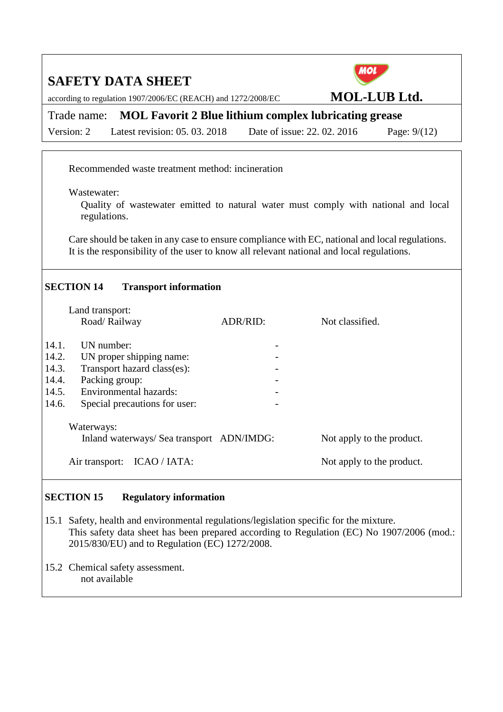according to regulation 1907/2006/EC (REACH) and 1272/2008/EC **MOL-LUB Ltd.** 



Trade name: **MOL Favorit 2 Blue lithium complex lubricating grease**  Version: 2 Latest revision: 05. 03. 2018 Date of issue: 22. 02. 2016 Page: 9/(12)

Recommended waste treatment method: incineration

Wastewater:

 Quality of wastewater emitted to natural water must comply with national and local regulations.

 Care should be taken in any case to ensure compliance with EC, national and local regulations. It is the responsibility of the user to know all relevant national and local regulations.

## **SECTION 14 Transport information**

|       | Land transport:                           |          |                           |
|-------|-------------------------------------------|----------|---------------------------|
|       | Road/Railway                              | ADR/RID: | Not classified.           |
| 14.1. | UN number:                                |          |                           |
| 14.2. | UN proper shipping name:                  |          |                           |
| 14.3. | Transport hazard class(es):               |          |                           |
| 14.4. | Packing group:                            |          |                           |
| 14.5. | <b>Environmental hazards:</b>             |          |                           |
| 14.6. | Special precautions for user:             |          |                           |
|       | Waterways:                                |          |                           |
|       | Inland waterways/ Sea transport ADN/IMDG: |          | Not apply to the product. |
|       | Air transport:<br>ICAO / IATA:            |          | Not apply to the product. |

## **SECTION 15 Regulatory information**

- 15.1 Safety, health and environmental regulations/legislation specific for the mixture. This safety data sheet has been prepared according to Regulation (EC) No 1907/2006 (mod.: 2015/830/EU) and to Regulation (EC) 1272/2008.
- 15.2 Chemical safety assessment. not available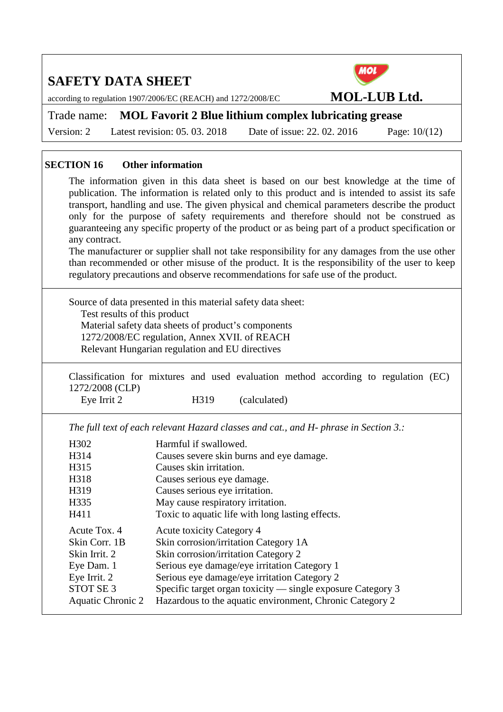according to regulation 1907/2006/EC (REACH) and 1272/2008/EC **MOL-LUB Ltd.** 



Version: 2 Latest revision: 05. 03. 2018 Date of issue: 22. 02. 2016 Page: 10/(12)

Trade name: **MOL Favorit 2 Blue lithium complex lubricating grease** 

#### **SECTION 16 Other information**

The information given in this data sheet is based on our best knowledge at the time of publication. The information is related only to this product and is intended to assist its safe transport, handling and use. The given physical and chemical parameters describe the product only for the purpose of safety requirements and therefore should not be construed as guaranteeing any specific property of the product or as being part of a product specification or any contract.

The manufacturer or supplier shall not take responsibility for any damages from the use other than recommended or other misuse of the product. It is the responsibility of the user to keep regulatory precautions and observe recommendations for safe use of the product.

Source of data presented in this material safety data sheet: Test results of this product Material safety data sheets of product's components 1272/2008/EC regulation, Annex XVII. of REACH Relevant Hungarian regulation and EU directives

Classification for mixtures and used evaluation method according to regulation (EC) 1272/2008 (CLP)

Eye Irrit 2 H319 (calculated)

*The full text of each relevant Hazard classes and cat., and H- phrase in Section 3.:* 

| H <sub>3</sub> 02        | Harmful if swallowed.                                       |
|--------------------------|-------------------------------------------------------------|
| H314                     | Causes severe skin burns and eye damage.                    |
| H315                     | Causes skin irritation.                                     |
| H318                     | Causes serious eye damage.                                  |
| H319                     | Causes serious eye irritation.                              |
| H335                     | May cause respiratory irritation.                           |
| H411                     | Toxic to aquatic life with long lasting effects.            |
| Acute Tox. 4             | Acute toxicity Category 4                                   |
| Skin Corr. 1B            | Skin corrosion/irritation Category 1A                       |
| Skin Irrit. 2            | Skin corrosion/irritation Category 2                        |
| Eye Dam. 1               | Serious eye damage/eye irritation Category 1                |
| Eye Irrit. 2             | Serious eye damage/eye irritation Category 2                |
| STOT SE <sub>3</sub>     | Specific target organ toxicity — single exposure Category 3 |
| <b>Aquatic Chronic 2</b> | Hazardous to the aquatic environment, Chronic Category 2    |
|                          |                                                             |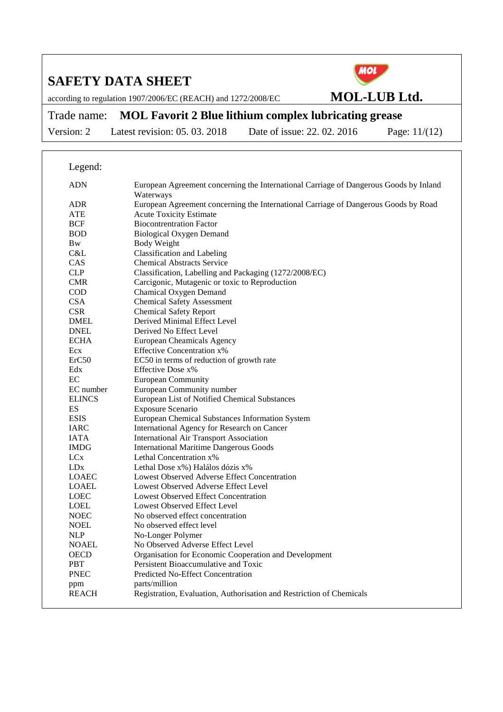according to regulation 1907/2006/EC (REACH) and 1272/2008/EC **MOL-LUB Ltd.** 



Trade name: **MOL Favorit 2 Blue lithium complex lubricating grease** 

Version: 2 Latest revision: 05. 03. 2018 Date of issue: 22. 02. 2016 Page: 11/(12)

## Legend:

| ADN                 | European Agreement concerning the International Carriage of Dangerous Goods by Inland<br>Waterways |
|---------------------|----------------------------------------------------------------------------------------------------|
| <b>ADR</b>          | European Agreement concerning the International Carriage of Dangerous Goods by Road                |
| ATE                 | <b>Acute Toxicity Estimate</b>                                                                     |
| <b>BCF</b>          | <b>Biocontrentration Factor</b>                                                                    |
| <b>BOD</b>          | <b>Biological Oxygen Demand</b>                                                                    |
| Bw                  | <b>Body Weight</b>                                                                                 |
| C&L                 | Classification and Labeling                                                                        |
| <b>CAS</b>          | <b>Chemical Abstracts Service</b>                                                                  |
| <b>CLP</b>          | Classification, Labelling and Packaging (1272/2008/EC)                                             |
| <b>CMR</b>          | Carcigonic, Mutagenic or toxic to Reproduction                                                     |
| <b>COD</b>          | Chamical Oxygen Demand                                                                             |
| CSA                 | <b>Chemical Safety Assessment</b>                                                                  |
| <b>CSR</b>          | <b>Chemical Safety Report</b>                                                                      |
| <b>DMEL</b>         | Derived Minimal Effect Level                                                                       |
| <b>DNEL</b>         | Derived No Effect Level                                                                            |
| <b>ECHA</b>         | <b>European Cheamicals Agency</b>                                                                  |
| Ecx                 | <b>Effective Concentration x%</b>                                                                  |
| ErC50               | EC50 in terms of reduction of growth rate                                                          |
| Edx                 | Effective Dose x%                                                                                  |
| $\rm EC$            | <b>European Community</b>                                                                          |
| EC number           | European Community number                                                                          |
| <b>ELINCS</b>       | European List of Notified Chemical Substances                                                      |
| ES                  | Exposure Scenario                                                                                  |
| <b>ESIS</b>         | European Chemical Substances Information System                                                    |
| <b>IARC</b>         | International Agency for Research on Cancer                                                        |
| <b>IATA</b>         | International Air Transport Association                                                            |
| <b>IMDG</b>         | <b>International Maritime Dangerous Goods</b>                                                      |
| LC <sub>x</sub>     | Lethal Concentration x%                                                                            |
| LDx                 | Lethal Dose x%) Halálos dózis x%                                                                   |
| <b>LOAEC</b>        | Lowest Observed Adverse Effect Concentration                                                       |
| LOAEL               | Lowest Observed Adverse Effect Level                                                               |
| <b>LOEC</b>         | <b>Lowest Observed Effect Concentration</b>                                                        |
| <b>LOEL</b>         | Lowest Observed Effect Level                                                                       |
| <b>NOEC</b>         | No observed effect concentration                                                                   |
| <b>NOEL</b>         | No observed effect level                                                                           |
| <b>NLP</b>          | No-Longer Polymer                                                                                  |
| <b>NOAEL</b>        | No Observed Adverse Effect Level                                                                   |
| <b>OECD</b>         | Organisation for Economic Cooperation and Development                                              |
| <b>PBT</b>          | Persistent Bioaccumulative and Toxic                                                               |
| <b>PNEC</b>         | Predicted No-Effect Concentration                                                                  |
| ppm<br><b>REACH</b> | parts/million                                                                                      |
|                     | Registration, Evaluation, Authorisation and Restriction of Chemicals                               |
|                     |                                                                                                    |